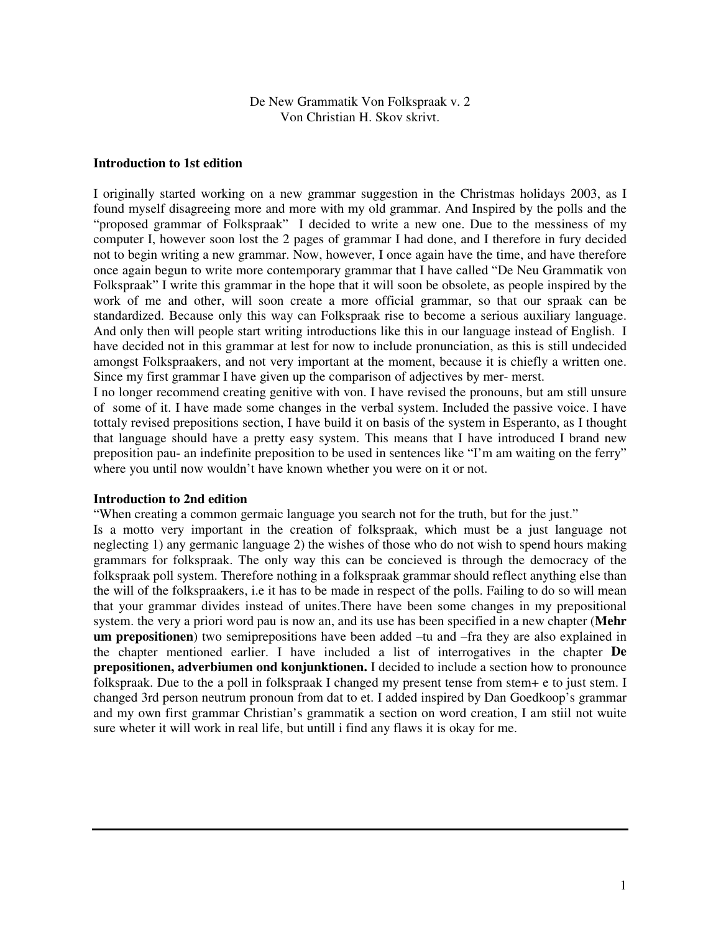De New Grammatik Von Folkspraak v. 2 Von Christian H. Skov skrivt.

### **Introduction to 1st edition**

I originally started working on a new grammar suggestion in the Christmas holidays 2003, as I found myself disagreeing more and more with my old grammar. And Inspired by the polls and the "proposed grammar of Folkspraak" I decided to write a new one. Due to the messiness of my computer I, however soon lost the 2 pages of grammar I had done, and I therefore in fury decided not to begin writing a new grammar. Now, however, I once again have the time, and have therefore once again begun to write more contemporary grammar that I have called "De Neu Grammatik von Folkspraak" I write this grammar in the hope that it will soon be obsolete, as people inspired by the work of me and other, will soon create a more official grammar, so that our spraak can be standardized. Because only this way can Folkspraak rise to become a serious auxiliary language. And only then will people start writing introductions like this in our language instead of English. I have decided not in this grammar at lest for now to include pronunciation, as this is still undecided amongst Folkspraakers, and not very important at the moment, because it is chiefly a written one. Since my first grammar I have given up the comparison of adjectives by mer- merst.

I no longer recommend creating genitive with von. I have revised the pronouns, but am still unsure of some of it. I have made some changes in the verbal system. Included the passive voice. I have tottaly revised prepositions section, I have build it on basis of the system in Esperanto, as I thought that language should have a pretty easy system. This means that I have introduced I brand new preposition pau- an indefinite preposition to be used in sentences like "I'm am waiting on the ferry" where you until now wouldn't have known whether you were on it or not.

### **Introduction to 2nd edition**

"When creating a common germaic language you search not for the truth, but for the just."

Is a motto very important in the creation of folkspraak, which must be a just language not neglecting 1) any germanic language 2) the wishes of those who do not wish to spend hours making grammars for folkspraak. The only way this can be concieved is through the democracy of the folkspraak poll system. Therefore nothing in a folkspraak grammar should reflect anything else than the will of the folkspraakers, i.e it has to be made in respect of the polls. Failing to do so will mean that your grammar divides instead of unites.There have been some changes in my prepositional system. the very a priori word pau is now an, and its use has been specified in a new chapter (**Mehr um prepositionen**) two semiprepositions have been added –tu and –fra they are also explained in the chapter mentioned earlier. I have included a list of interrogatives in the chapter **De prepositionen, adverbiumen ond konjunktionen.** I decided to include a section how to pronounce folkspraak. Due to the a poll in folkspraak I changed my present tense from stem+ e to just stem. I changed 3rd person neutrum pronoun from dat to et. I added inspired by Dan Goedkoop's grammar and my own first grammar Christian's grammatik a section on word creation, I am stiil not wuite sure wheter it will work in real life, but untill i find any flaws it is okay for me.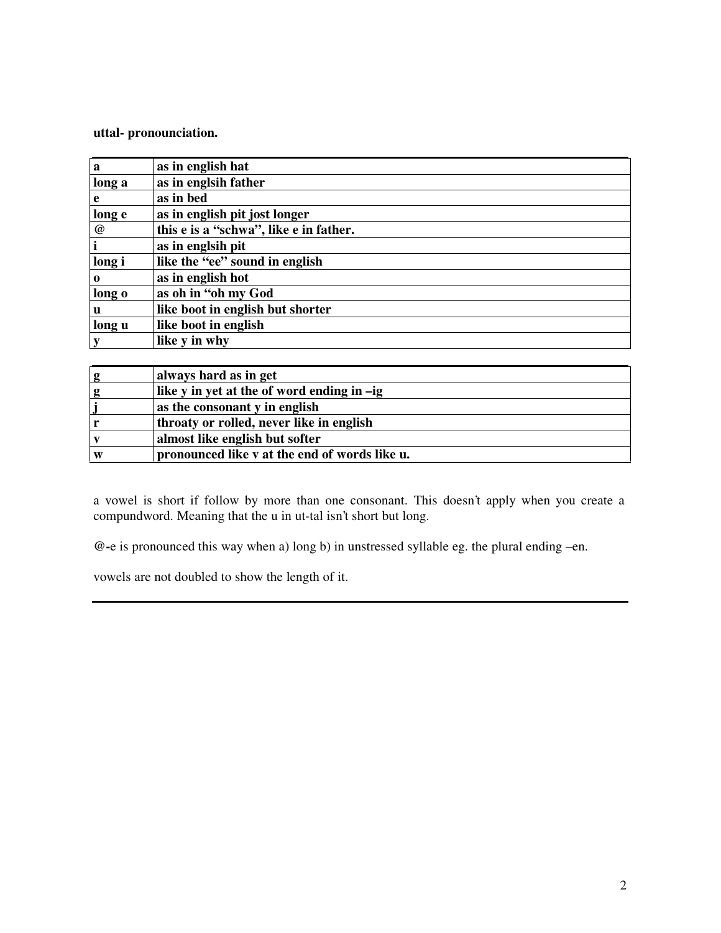**uttal- pronounciation.**

| a               | as in english hat                      |
|-----------------|----------------------------------------|
| long a          | as in englsih father                   |
| e               | as in bed                              |
| long e          | as in english pit jost longer          |
| $^{\copyright}$ | this e is a "schwa", like e in father. |
| $\mathbf{i}$    | as in englsih pit                      |
| long i          | like the "ee" sound in english         |
| $\bf{0}$        | as in english hot                      |
| long o          | as oh in "oh my God                    |
| u               | like boot in english but shorter       |
| long u          | like boot in english                   |
| $\mathbf{y}$    | like y in why                          |

| $\bf{g}$ | always hard as in get                         |
|----------|-----------------------------------------------|
| g        | like y in yet at the of word ending in -ig    |
|          | as the consonant y in english                 |
|          | throaty or rolled, never like in english      |
|          | almost like english but softer                |
| W        | pronounced like v at the end of words like u. |

a vowel is short if follow by more than one consonant. This doesn't apply when you create a compundword. Meaning that the u in ut-tal isn't short but long.

**@-**e is pronounced this way when a) long b) in unstressed syllable eg. the plural ending –en.

vowels are not doubled to show the length of it.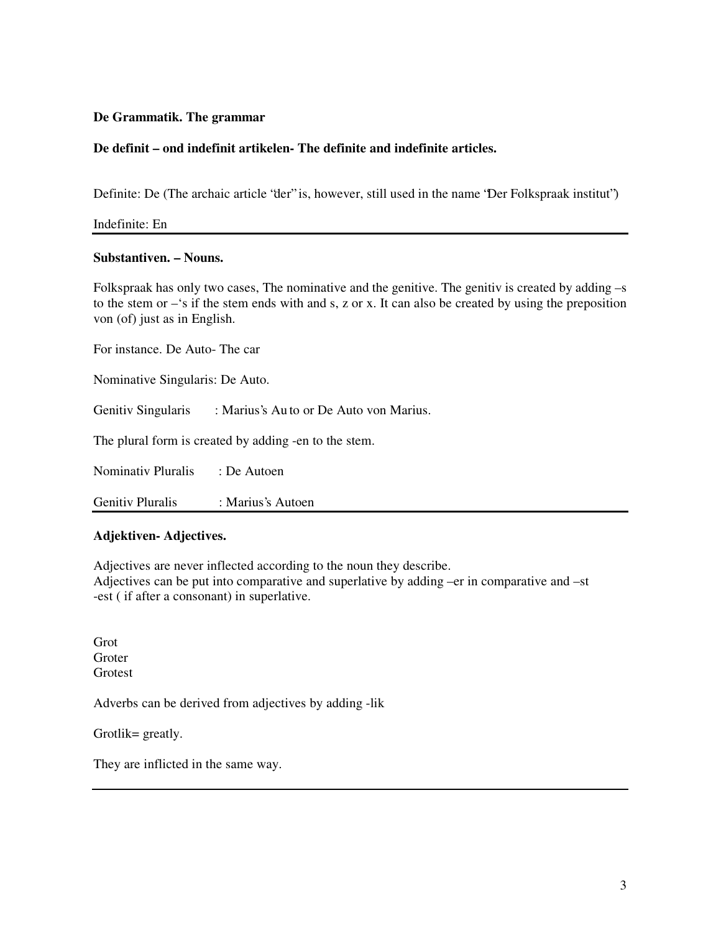# **De Grammatik. The grammar**

# **De definit – ond indefinit artikelen- The definite and indefinite articles.**

Definite: De (The archaic article "der" is, however, still used in the name "Der Folkspraak institut")

Indefinite: En

## **Substantiven. – Nouns.**

Folkspraak has only two cases, The nominative and the genitive. The genitiv is created by adding –s to the stem or –'s if the stem ends with and s, z or x. It can also be created by using the preposition von (of) just as in English.

For instance. De Auto- The car

Nominative Singularis: De Auto.

Genitiv Singularis : Marius's Au to or De Auto von Marius.

The plural form is created by adding -en to the stem.

Nominativ Pluralis : De Autoen

Genitiv Pluralis : Marius's Autoen

## **Adjektiven- Adjectives.**

Adjectives are never inflected according to the noun they describe.

Adjectives can be put into comparative and superlative by adding –er in comparative and –st -est ( if after a consonant) in superlative.

Grot **Groter** Grotest

Adverbs can be derived from adjectives by adding -lik

Grotlik= greatly.

They are inflicted in the same way.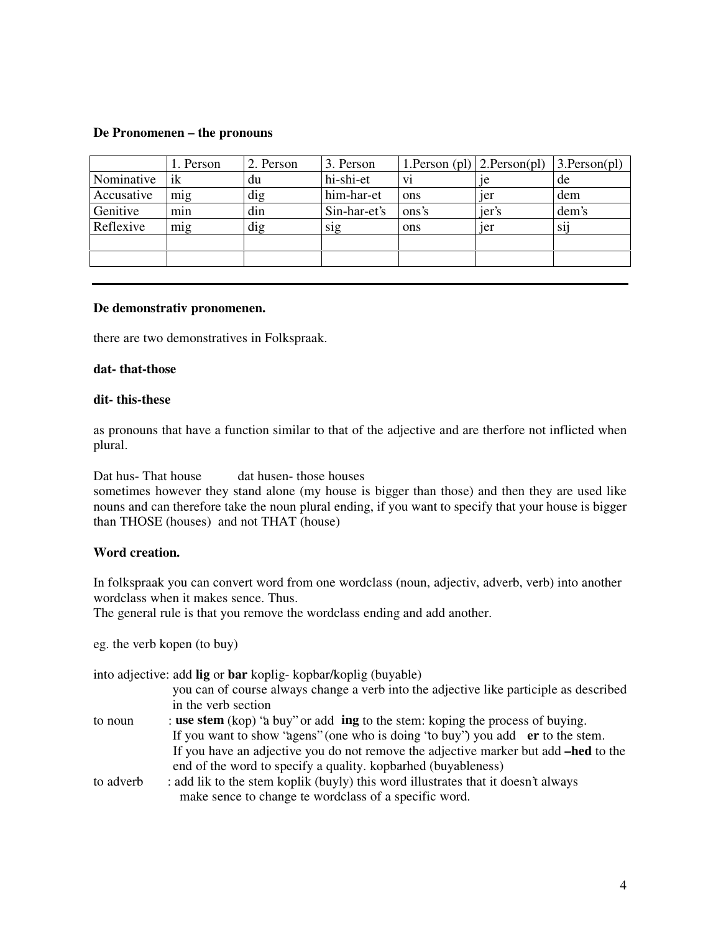### **De Pronomenen – the pronouns**

|            | l. Person | 2. Person | 3. Person    | 1. Person (pl) $ 2$ . Person(pl) |                | $3.$ Person(pl) |
|------------|-----------|-----------|--------------|----------------------------------|----------------|-----------------|
| Nominative | ik        | du        | hi-shi-et    | Vİ.                              | 1e             | de              |
| Accusative | mig       | dig       | him-har-et   | ons                              | <sub>1er</sub> | dem             |
| Genitive   | min       | din       | Sin-har-et's | ons's                            | jer's          | dem's           |
| Reflexive  | mig       | dig       | sig          | ons                              | <sub>1er</sub> | Si1             |
|            |           |           |              |                                  |                |                 |
|            |           |           |              |                                  |                |                 |

#### **De demonstrativ pronomenen.**

there are two demonstratives in Folkspraak.

#### **dat- that-those**

#### **dit- this-these**

as pronouns that have a function similar to that of the adjective and are therfore not inflicted when plural.

Dat hus- That house dat husen- those houses

sometimes however they stand alone (my house is bigger than those) and then they are used like nouns and can therefore take the noun plural ending, if you want to specify that your house is bigger than THOSE (houses) and not THAT (house)

# **Word creation.**

In folkspraak you can convert word from one wordclass (noun, adjectiv, adverb, verb) into another wordclass when it makes sence. Thus.

The general rule is that you remove the wordclass ending and add another.

eg. the verb kopen (to buy)

into adjective: add **lig** or **bar** koplig- kopbar/koplig (buyable)

- you can of course always change a verb into the adjective like participle as described in the verb section
- to noun : **use stem** (kop) "a buy" or add **ing** to the stem: koping the process of buying. If you want to show "agens" (one who is doing "to buy") you add **er** to the stem. If you have an adjective you do not remove the adjective marker but add **–hed** to the end of the word to specify a quality. kopbarhed (buyableness)
- to adverb : add lik to the stem koplik (buyly) this word illustrates that it doesn't always make sence to change te wordclass of a specific word.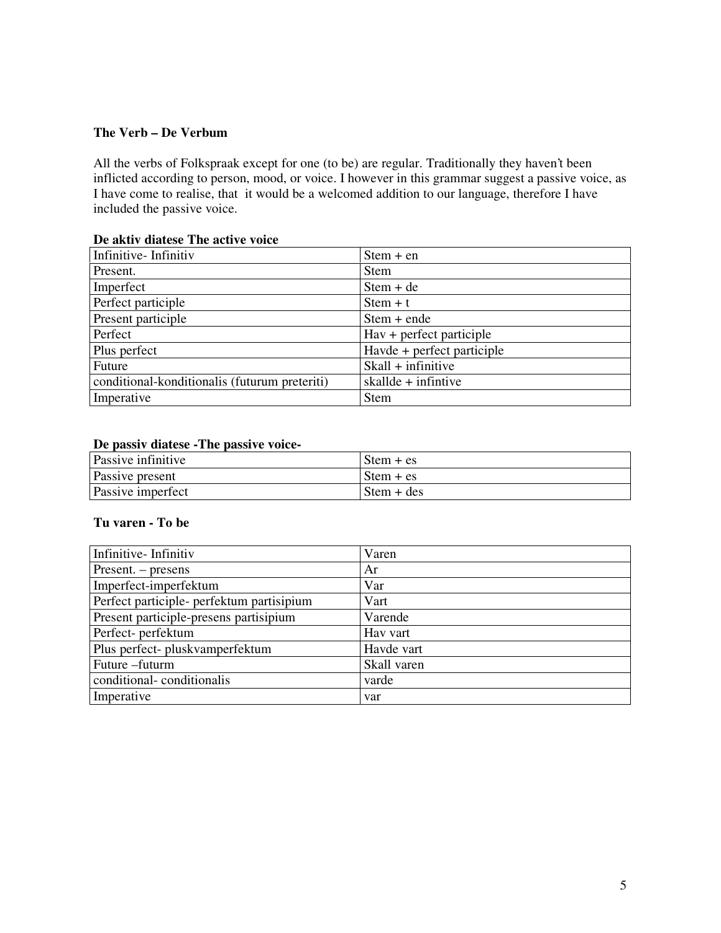# **The Verb – De Verbum**

All the verbs of Folkspraak except for one (to be) are regular. Traditionally they haven't been inflicted according to person, mood, or voice. I however in this grammar suggest a passive voice, as I have come to realise, that it would be a welcomed addition to our language, therefore I have included the passive voice.

# **De aktiv diatese The active voice**

| Infinitive-Infinitiv                          | $Stem + en$                            |
|-----------------------------------------------|----------------------------------------|
| Present.                                      | <b>Stem</b>                            |
| Imperfect                                     | $Stem + de$                            |
| Perfect participle                            | $Stem + t$                             |
| Present participle                            | $Stem + ende$                          |
| Perfect                                       | $\text{Hav} + \text{perfect particle}$ |
| Plus perfect                                  | Havde + perfect participle             |
| Future                                        | $Skall + infinite$                     |
| conditional-konditionalis (futurum preteriti) | skallde $+$ infintive                  |
| Imperative                                    | <b>Stem</b>                            |

# **De passiv diatese -The passive voice-**

| Passive infinitive | $\mathsf{Stem} + \mathsf{es}$ |
|--------------------|-------------------------------|
| Passive present    | $\mathsf{Stem} + \mathsf{es}$ |
| Passive imperfect  | $\text{Stem} + \text{des}$    |

# **Tu varen - To be**

| Infinitive-Infinitiv                      | Varen       |
|-------------------------------------------|-------------|
| $Present. - presents$                     | Ar          |
| Imperfect-imperfektum                     | Var         |
| Perfect participle- perfektum partisipium | Vart        |
| Present participle-presens partisipium    | Varende     |
| Perfect- perfektum                        | Hay vart    |
| Plus perfect- pluskvamperfektum           | Havde vart  |
| Future -futurm                            | Skall varen |
| conditional-conditionalis                 | varde       |
| Imperative                                | var         |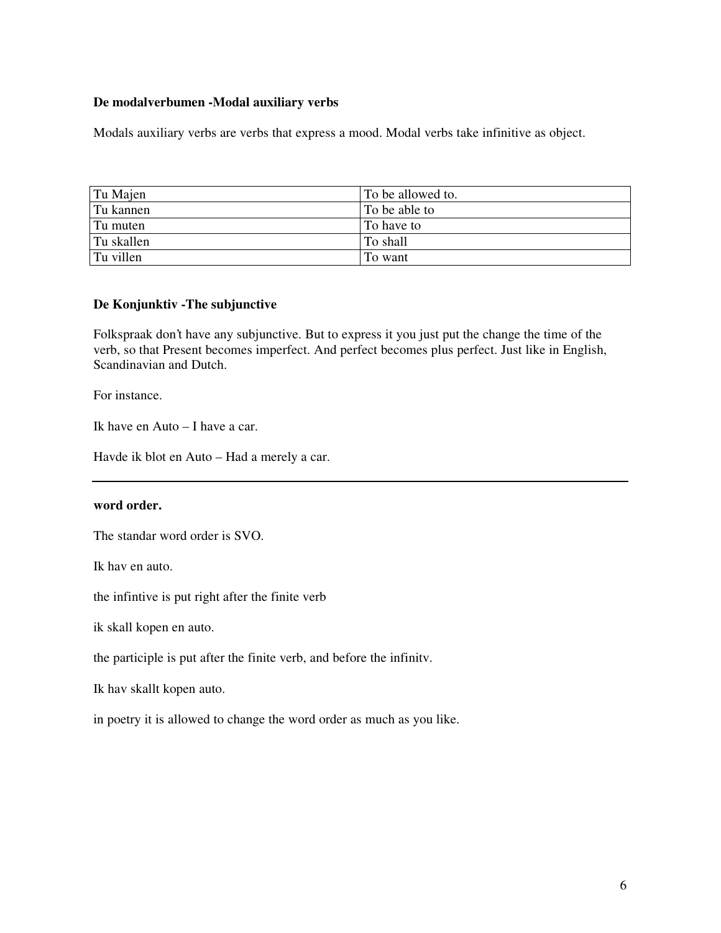## **De modalverbumen -Modal auxiliary verbs**

Modals auxiliary verbs are verbs that express a mood. Modal verbs take infinitive as object.

| Tu Majen   | To be allowed to. |
|------------|-------------------|
| Tu kannen  | To be able to     |
| Tu muten   | To have to        |
| Tu skallen | To shall          |
| Tu villen  | To want           |

# **De Konjunktiv -The subjunctive**

Folkspraak don't have any subjunctive. But to express it you just put the change the time of the verb, so that Present becomes imperfect. And perfect becomes plus perfect. Just like in English, Scandinavian and Dutch.

For instance.

Ik have en Auto – I have a car.

Havde ik blot en Auto – Had a merely a car.

# **word order.**

The standar word order is SVO.

Ik hav en auto.

the infintive is put right after the finite verb

ik skall kopen en auto.

the participle is put after the finite verb, and before the infinitv.

Ik hav skallt kopen auto.

in poetry it is allowed to change the word order as much as you like.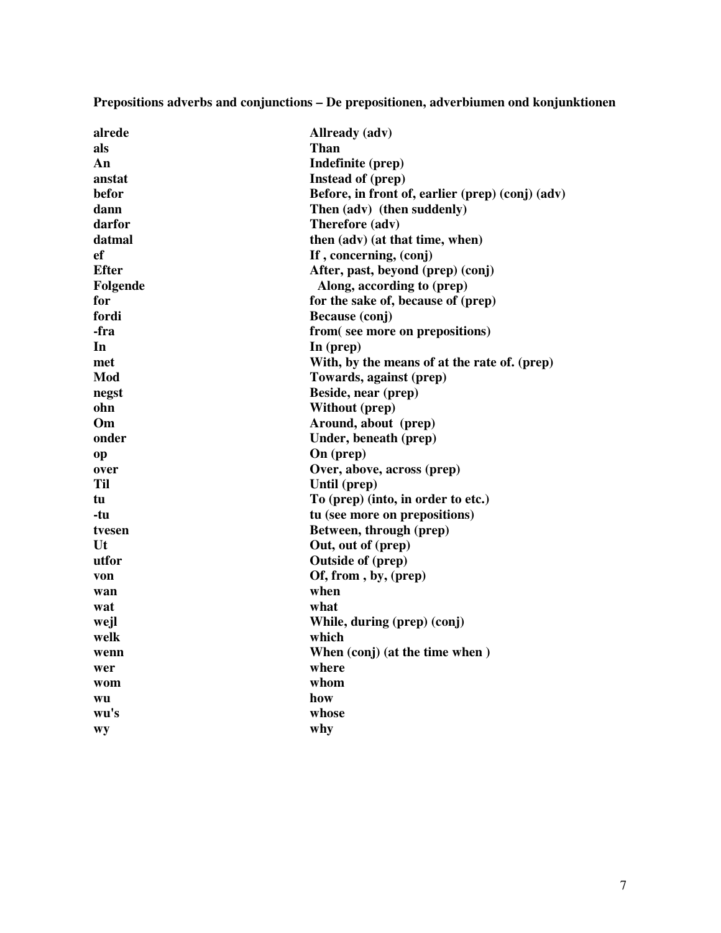**Prepositions adverbs and conjunctions – De prepositionen, adverbiumen ond konjunktionen**

| alrede       | Allready (adv)                                   |
|--------------|--------------------------------------------------|
| als          | <b>Than</b>                                      |
| An           | Indefinite (prep)                                |
| anstat       | Instead of (prep)                                |
| befor        | Before, in front of, earlier (prep) (conj) (adv) |
| dann         | Then (adv) (then suddenly)                       |
| darfor       | Therefore (adv)                                  |
| datmal       | then (adv) (at that time, when)                  |
| $_{\rm ef}$  | If, concerning, (conj)                           |
| <b>Efter</b> | After, past, beyond (prep) (conj)                |
| Folgende     | Along, according to (prep)                       |
| for          | for the sake of, because of (prep)               |
| fordi        | Because (conj)                                   |
| -fra         | from(see more on prepositions)                   |
| In           | In (prep)                                        |
| met          | With, by the means of at the rate of. (prep)     |
| Mod          | Towards, against (prep)                          |
| negst        | Beside, near (prep)                              |
| ohn          | <b>Without (prep)</b>                            |
| Om           | Around, about (prep)                             |
| onder        | Under, beneath (prep)                            |
| op           | On (prep)                                        |
| over         | Over, above, across (prep)                       |
| <b>Til</b>   | Until (prep)                                     |
| tu           | To (prep) (into, in order to etc.)               |
| -tu          | tu (see more on prepositions)                    |
| tvesen       | Between, through (prep)                          |
| Ut           | Out, out of (prep)                               |
| utfor        | <b>Outside of (prep)</b>                         |
| von          | Of, from, by, (prep)                             |
| wan          | when                                             |
| wat          | what                                             |
| wejl         | While, during (prep) (conj)                      |
| welk         | which                                            |
| wenn         | When (conj) (at the time when)                   |
| wer          | where                                            |
| wom          | whom                                             |
| wu           | how                                              |
| wu's         | whose                                            |
| Wy           | why                                              |